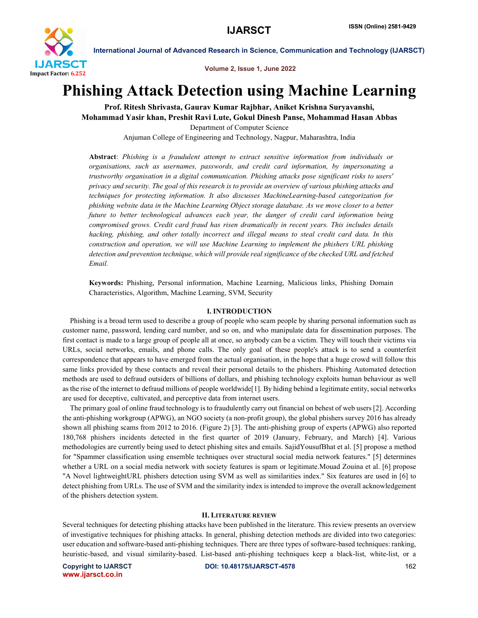

Volume 2, Issue 1, June 2022

# Phishing Attack Detection using Machine Learning

Prof. Ritesh Shrivasta, Gaurav Kumar Rajbhar, Aniket Krishna Suryavanshi, Mohammad Yasir khan, Preshit Ravi Lute, Gokul Dinesh Panse, Mohammad Hasan Abbas Department of Computer Science

Anjuman College of Engineering and Technology, Nagpur, Maharashtra, India

Abstract: *Phishing is a fraudulent attempt to extract sensitive information from individuals or organisations, such as usernames, passwords, and credit card information, by impersonating a trustworthy organisation in a digital communication. Phishing attacks pose significant risks to users' privacy and security. The goal of this research is to provide an overview of various phishing attacks and techniques for protecting information. It also discusses MachineLearning-based categorization for phishing website data in the Machine Learning Object storage database. As we move closer to a better future to better technological advances each year, the danger of credit card information being compromised grows. Credit card fraud has risen dramatically in recent years. This includes details hacking, phishing, and other totally incorrect and illegal means to steal credit card data. In this construction and operation, we will use Machine Learning to implement the phishers URL phishing detection and prevention technique, which will provide real significance of the checked URL and fetched Email.*

Keywords: Phishing, Personal information, Machine Learning, Malicious links, Phishing Domain Characteristics, Algorithm, Machine Learning, SVM, Security

### I. INTRODUCTION

 Phishing is a broad term used to describe a group of people who scam people by sharing personal information such as customer name, password, lending card number, and so on, and who manipulate data for dissemination purposes. The first contact is made to a large group of people all at once, so anybody can be a victim. They will touch their victims via URLs, social networks, emails, and phone calls. The only goal of these people's attack is to send a counterfeit correspondence that appears to have emerged from the actual organisation, in the hope that a huge crowd will follow this same links provided by these contacts and reveal their personal details to the phishers. Phishing Automated detection methods are used to defraud outsiders of billions of dollars, and phishing technology exploits human behaviour as well as the rise of the internet to defraud millions of people worldwide[1]. By hiding behind a legitimate entity, social networks are used for deceptive, cultivated, and perceptive data from internet users.

 The primary goal of online fraud technology is to fraudulently carry out financial on behest of web users [2]. According the anti-phishing workgroup (APWG), an NGO society (a non-profit group), the global phishers survey 2016 has already shown all phishing scams from 2012 to 2016. (Figure 2) [3]. The anti-phishing group of experts (APWG) also reported 180,768 phishers incidents detected in the first quarter of 2019 (January, February, and March) [4]. Various methodologies are currently being used to detect phishing sites and emails. SajidYousufBhat et al. [5] propose a method for "Spammer classification using ensemble techniques over structural social media network features." [5] determines whether a URL on a social media network with society features is spam or legitimate.Mouad Zouina et al. [6] propose "A Novel lightweightURL phishers detection using SVM as well as similarities index." Six features are used in [6] to detect phishing from URLs. The use of SVM and the similarity index is intended to improve the overall acknowledgement of the phishers detection system.

### II. LITERATURE REVIEW

Several techniques for detecting phishing attacks have been published in the literature. This review presents an overview of investigative techniques for phishing attacks. In general, phishing detection methods are divided into two categories: user education and software-based anti-phishing techniques. There are three types of software-based techniques: ranking, heuristic-based, and visual similarity-based. List-based anti-phishing techniques keep a black-list, white-list, or a

www.ijarsct.co.in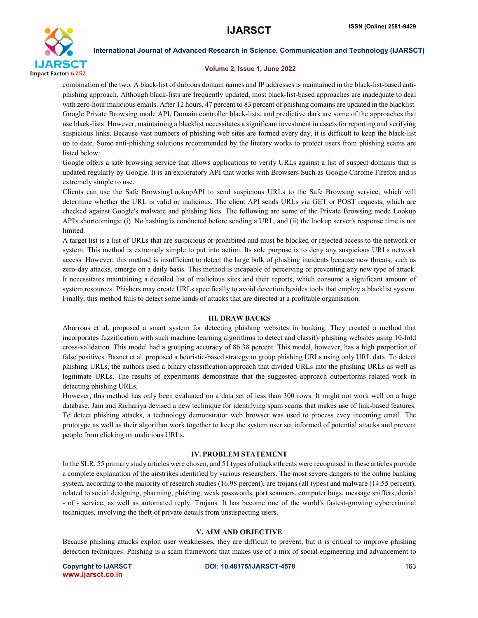

### Volume 2, Issue 1, June 2022

combination of the two. A black-list of dubious domain names and IP addresses is maintained in the black-list-based antiphishing approach. Although black-lists are frequently updated, most black-list-based approaches are inadequate to deal with zero-hour malicious emails. After 12 hours, 47 percent to 83 percent of phishing domains are updated in the blacklist. Google Private Browsing mode API, Domain controller black-lists, and predictive dark are some of the approaches that use black-lists. However, maintaining a blacklist necessitates a significant investment in assets for reporting and verifying suspicious links. Because vast numbers of phishing web sites are formed every day, it is difficult to keep the black-list up to date. Some anti-phishing solutions recommended by the literary works to protect users from phishing scams are listed below:

Google offers a safe browsing service that allows applications to verify URLs against a list of suspect domains that is updated regularly by Google. It is an exploratory API that works with Browsers Such as Google Chrome Firefox and is extremely simple to use.

Clients can use the Safe BrowsingLookupAPI to send suspicious URLs to the Safe Browsing service, which will determine whether the URL is valid or malicious. The client API sends URLs via GET or POST requests, which are checked against Google's malware and phishing lists. The following are some of the Private Browsing mode Lookup API's shortcomings: (i) No hashing is conducted before sending a URL, and (ii) the lookup server's response time is not limited.

A target list is a list of URLs that are suspicious or prohibited and must be blocked or rejected access to the network or system. This method is extremely simple to put into action. Its sole purpose is to deny any suspicious URLs network access. However, this method is insufficient to detect the large bulk of phishing incidents because new threats, such as zero-day attacks, emerge on a daily basis. This method is incapable of perceiving or preventing any new type of attack. It necessitates maintaining a detailed list of malicious sites and their reports, which consume a significant amount of system resources. Phishers may create URLs specifically to avoid detection besides tools that employ a blacklist system. Finally, this method fails to detect some kinds of attacks that are directed at a profitable organisation.

### III. DRAW BACKS

Aburrous et al. proposed a smart system for detecting phishing websites in banking. They created a method that incorporates fuzzification with such machine learning algorithms to detect and classify phishing websites using 10-fold cross-validation. This model had a grouping accuracy of 86.38 percent. This model, however, has a high proportion of false positives. Basnet et al. proposed a heuristic-based strategy to group phishing URLs using only URL data. To detect phishing URLs, the authors used a binary classification approach that divided URLs into the phishing URLs as well as legitimate URLs. The results of experiments demonstrate that the suggested approach outperforms related work in detecting phishing URLs.

However, this method has only been evaluated on a data set of less than 300 rows. It might not work well on a huge database. Jain and Richariya devised a new technique for identifying spam scams that makes use of link-based features. To detect phishing attacks, a technology demonstrator web browser was used to process evey incoming email. The prototype as well as their algorithm work together to keep the system user set informed of potential attacks and prevent people from clicking on malicious URLs.

# IV. PROBLEM STATEMENT

In the SLR, 55 primary study articles were chosen, and 51 types of attacks/threats were recognised in these articles provide a complete explanation of the airstrikes identified by various researchers. The most severe dangers to the online banking system, according to the majority of research studies (16.98 percent), are trojans (all types) and malware (14.55 percent), related to social designing, pharming, phishing, weak passwords, port scanners, computer bugs, message sniffers, denial - of - service, as well as automated reply. Trojans. It has become one of the world's fastest-growing cybercriminal techniques, involving the theft of private details from unsuspecting users.

### V. AIM AND OBJECTIVE

Because phishing attacks exploit user weaknesses, they are difficult to prevent, but it is critical to improve phishing detection techniques. Phishing is a scam framework that makes use of a mix of social engineering and advancement to

www.ijarsct.co.in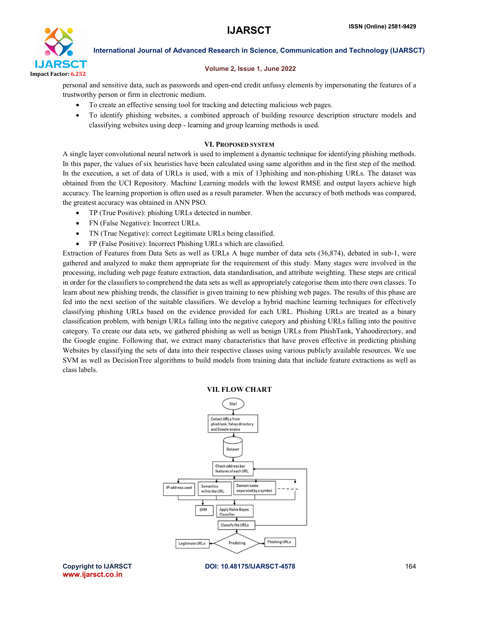

# Volume 2, Issue 1, June 2022

personal and sensitive data, such as passwords and open-end credit unfussy elements by impersonating the features of a trustworthy person or firm in electronic medium.

- To create an effective sensing tool for tracking and detecting malicious web pages.
- To identify phishing websites, a combined approach of building resource description structure models and classifying websites using deep - learning and group learning methods is used.

# VI. PROPOSED SYSTEM

A single layer convolutional neural network is used to implement a dynamic technique for identifying phishing methods. In this paper, the values of six heuristics have been calculated using same algorithm and in the first step of the method. In the execution, a set of data of URLs is used, with a mix of 13phishing and non-phishing URLs. The dataset was obtained from the UCI Repository. Machine Learning models with the lowest RMSE and output layers achieve high accuracy. The learning proportion is often used as a result parameter. When the accuracy of both methods was compared, the greatest accuracy was obtained in ANN PSO.

- TP (True Positive): phishing URLs detected in number.
- FN (False Negative): Incorrect URLs.
- TN (True Negative): correct Legitimate URLs being classified.
- FP (False Positive): Incorrect Phishing URLs which are classified.

Extraction of Features from Data Sets as well as URLs A huge number of data sets (36,874), debated in sub-1, were gathered and analyzed to make them appropriate for the requirement of this study. Many stages were involved in the processing, including web page feature extraction, data standardisation, and attribute weighting. These steps are critical in order for the classifiers to comprehend the data sets as well as appropriately categorise them into there own classes. To learn about new phishing trends, the classifier is given training to new phishing web pages. The results of this phase are fed into the next section of the suitable classifiers. We develop a hybrid machine learning techniques for effectively classifying phishing URLs based on the evidence provided for each URL. Phishing URLs are treated as a binary classification problem, with benign URLs falling into the negative category and phishing URLs falling into the positive category. To create our data sets, we gathered phishing as well as benign URLs from PhishTank, Yahoodirectory, and the Google engine. Following that, we extract many characteristics that have proven effective in predicting phishing Websites by classifying the sets of data into their respective classes using various publicly available resources. We use SVM as well as DecisionTree algorithms to build models from training data that include feature extractions as well as class labels.

### VII. FLOW CHART



www.ijarsct.co.in

Copyright to IJARSCT **DOI: 10.48175/IJARSCT-4578** 164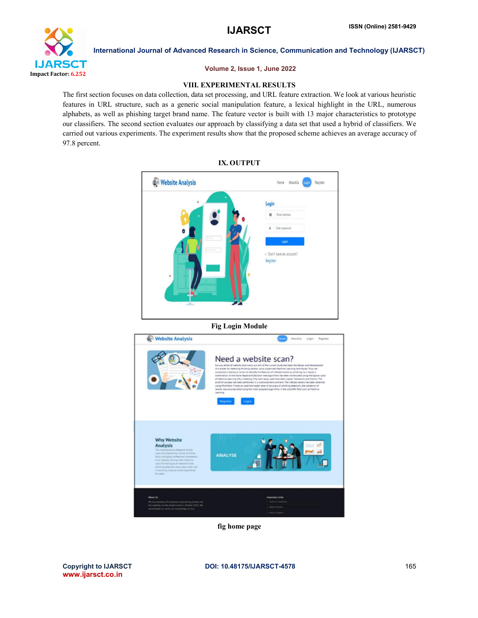

# Volume 2, Issue 1, June 2022

# VIII. EXPERIMENTAL RESULTS

The first section focuses on data collection, data set processing, and URL feature extraction. We look at various heuristic features in URL structure, such as a generic social manipulation feature, a lexical highlight in the URL, numerous alphabets, as well as phishing target brand name. The feature vector is built with 13 major characteristics to prototype our classifiers. The second section evaluates our approach by classifying a data set that used a hybrid of classifiers. We carried out various experiments. The experiment results show that the proposed scheme achieves an average accuracy of 97.8 percent.



Fig Login Module



fig home page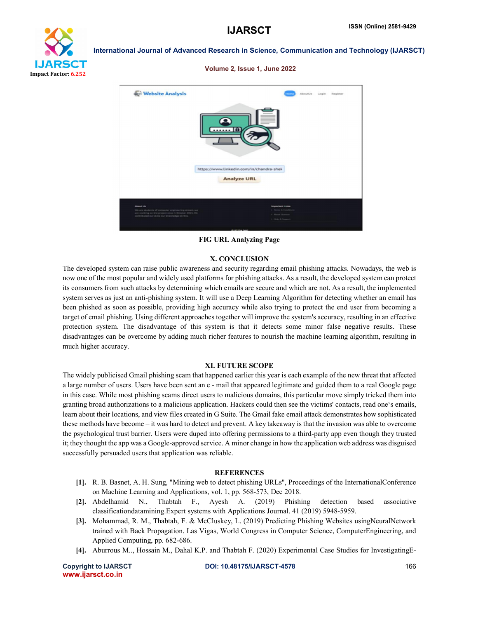

### Volume 2, Issue 1, June 2022



FIG URL Analyzing Page

### X. CONCLUSION

The developed system can raise public awareness and security regarding email phishing attacks. Nowadays, the web is now one of the most popular and widely used platforms for phishing attacks. As a result, the developed system can protect its consumers from such attacks by determining which emails are secure and which are not. As a result, the implemented system serves as just an anti-phishing system. It will use a Deep Learning Algorithm for detecting whether an email has been phished as soon as possible, providing high accuracy while also trying to protect the end user from becoming a target of email phishing. Using different approaches together will improve the system's accuracy, resulting in an effective protection system. The disadvantage of this system is that it detects some minor false negative results. These disadvantages can be overcome by adding much richer features to nourish the machine learning algorithm, resulting in much higher accuracy.

### XI. FUTURE SCOPE

The widely publicised Gmail phishing scam that happened earlier this year is each example of the new threat that affected a large number of users. Users have been sent an e - mail that appeared legitimate and guided them to a real Google page in this case. While most phishing scams direct users to malicious domains, this particular move simply tricked them into granting broad authorizations to a malicious application. Hackers could then see the victims' contacts, read one's emails, learn about their locations, and view files created in G Suite. The Gmail fake email attack demonstrates how sophisticated these methods have become – it was hard to detect and prevent. A key takeaway is that the invasion was able to overcome the psychological trust barrier. Users were duped into offering permissions to a third-party app even though they trusted it; they thought the app was a Google-approved service. A minor change in how the application web address was disguised successfully persuaded users that application was reliable.

### **REFERENCES**

- [1]. R. B. Basnet, A. H. Sung, "Mining web to detect phishing URLs", Proceedings of the InternationalConference on Machine Learning and Applications, vol. 1, pp. 568-573, Dec 2018.
- [2]. Abdelhamid N., Thabtah F., Ayesh A. (2019) Phishing detection based associative classificationdatamining.Expert systems with Applications Journal. 41 (2019) 5948-5959.
- [3]. Mohammad, R. M., Thabtah, F. & McCluskey, L. (2019) Predicting Phishing Websites usingNeuralNetwork trained with Back Propagation. Las Vigas, World Congress in Computer Science, ComputerEngineering, and Applied Computing, pp. 682-686.
- [4]. Aburrous M.., Hossain M., Dahal K.P. and Thabtah F. (2020) Experimental Case Studies for InvestigatingE-

www.ijarsct.co.in

Copyright to IJARSCT **DOI: 10.48175/IJARSCT-4578** 166